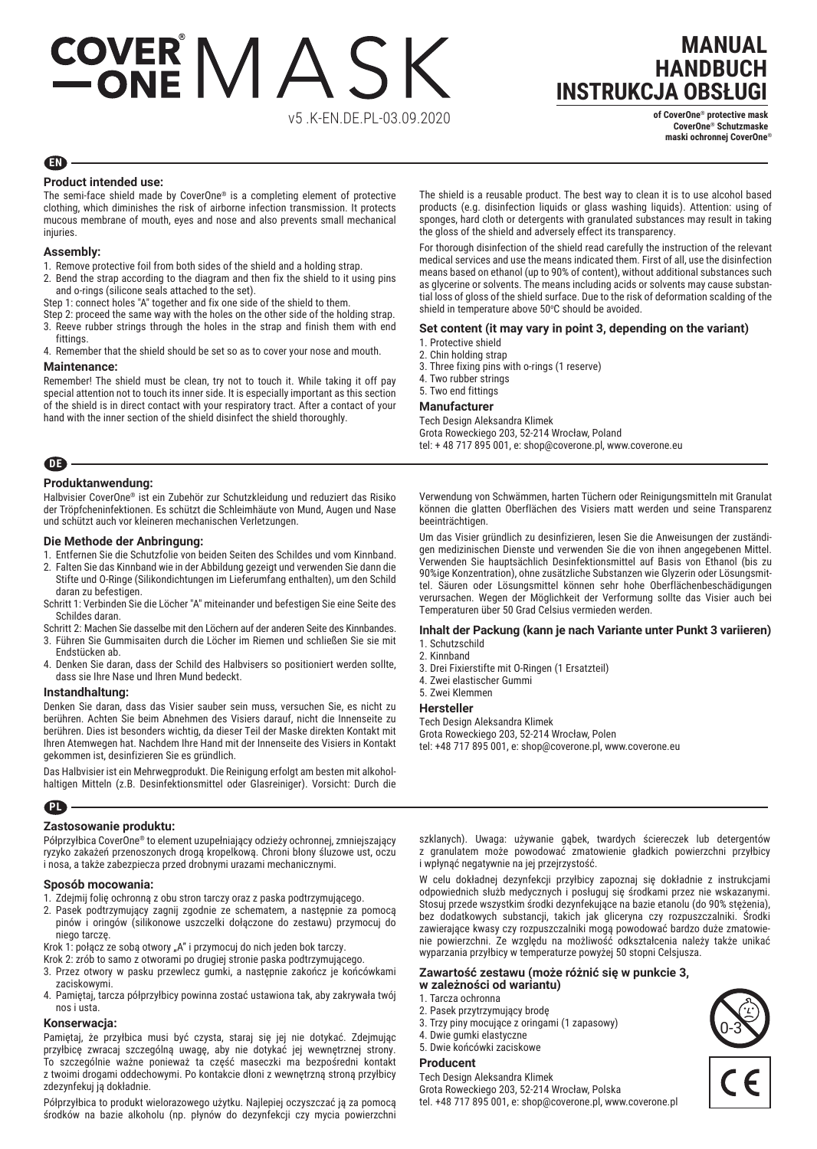# COVER MASK

v5 .K-EN.DE.PL-03.09.2020

### **MANUAL HANDBUCH INSTRUKCJA OBSŁUGI**

**of CoverOne**® **protective mask CoverOne**® **Schutzmaske maski ochronnej CoverOne**®

#### **EN**

#### **Product intended use:**

The semi-face shield made by CoverOne® is a completing element of protective clothing, which diminishes the risk of airborne infection transmission. It protects mucous membrane of mouth, eyes and nose and also prevents small mechanical injuries.

#### **Assembly:**

- 1. Remove protective foil from both sides of the shield and a holding strap.
- 2. Bend the strap according to the diagram and then fix the shield to it using pins and o-rings (silicone seals attached to the set).
- Step 1: connect holes "A" together and fix one side of the shield to them.
- Step 2: proceed the same way with the holes on the other side of the holding strap. 3. Reeve rubber strings through the holes in the strap and finish them with end
- fittings. 4. Remember that the shield should be set so as to cover your nose and mouth.

#### **Maintenance:**

Remember! The shield must be clean, try not to touch it. While taking it off pay special attention not to touch its inner side. It is especially important as this section of the shield is in direct contact with your respiratory tract. After a contact of your hand with the inner section of the shield disinfect the shield thoroughly.

**DE**

#### **Produktanwendung:**

Halbvisier CoverOne® ist ein Zubehör zur Schutzkleidung und reduziert das Risiko der Tröpfcheninfektionen. Es schützt die Schleimhäute von Mund, Augen und Nase und schützt auch vor kleineren mechanischen Verletzungen.

#### **Die Methode der Anbringung:**

- 1. Entfernen Sie die Schutzfolie von beiden Seiten des Schildes und vom Kinnband.
- 2. Falten Sie das Kinnband wie in der Abbildung gezeigt und verwenden Sie dann die Stifte und O-Ringe (Silikondichtungen im Lieferumfang enthalten), um den Schild daran zu befestigen.
- Schritt 1: Verbinden Sie die Löcher "A" miteinander und befestigen Sie eine Seite des Schildes daran.

Schritt 2: Machen Sie dasselbe mit den Löchern auf der anderen Seite des Kinnbandes. 3. Führen Sie Gummisaiten durch die Löcher im Riemen und schließen Sie sie mit

- Endstücken ab. 4. Denken Sie daran, dass der Schild des Halbvisers so positioniert werden sollte,
- dass sie Ihre Nase und Ihren Mund bedeckt.

#### **Instandhaltung:**

Denken Sie daran, dass das Visier sauber sein muss, versuchen Sie, es nicht zu berühren. Achten Sie beim Abnehmen des Visiers darauf, nicht die Innenseite zu berühren. Dies ist besonders wichtig, da dieser Teil der Maske direkten Kontakt mit Ihren Atemwegen hat. Nachdem Ihre Hand mit der Innenseite des Visiers in Kontakt gekommen ist, desinfizieren Sie es gründlich.

Das Halbvisier ist ein Mehrwegprodukt. Die Reinigung erfolgt am besten mit alkoholhaltigen Mitteln (z.B. Desinfektionsmittel oder Glasreiniger). Vorsicht: Durch die

#### **PL**

#### **Zastosowanie produktu:**

Półprzyłbica CoverOne® to element uzupełniający odzieży ochronnej, zmniejszający ryzyko zakażeń przenoszonych drogą kropelkową. Chroni błony śluzowe ust, oczu i nosa, a także zabezpiecza przed drobnymi urazami mechanicznymi.

#### **Sposób mocowania:**

- 1. Zdejmij folię ochronną z obu stron tarczy oraz z paska podtrzymującego.
- 2. Pasek podtrzymujący zagnij zgodnie ze schematem, a następnie za pomocą pinów i oringów (silikonowe uszczelki dołączone do zestawu) przymocuj do niego tarczę.
- Krok 1: połącz ze sobą otwory "A" i przymocuj do nich jeden bok tarczy.
- Krok 2: zrób to samo z otworami po drugiej stronie paska podtrzymującego.
- 3. Przez otwory w pasku przewlecz gumki, a następnie zakończ je końcówkami zaciskowymi.
- 4. Pamiętaj, tarcza półprzyłbicy powinna zostać ustawiona tak, aby zakrywała twój nos i usta.

#### **Konserwacja:**

Pamiętaj, że przyłbica musi być czysta, staraj się jej nie dotykać. Zdejmując przyłbicę zwracaj szczególną uwagę, aby nie dotykać jej wewnętrznej strony. To szczególnie ważne ponieważ ta część maseczki ma bezpośredni kontakt z twoimi drogami oddechowymi. Po kontakcie dłoni z wewnętrzną stroną przyłbicy zdezynfekuj ją dokładnie.

Półprzyłbica to produkt wielorazowego użytku. Najlepiej oczyszczać ją za pomocą środków na bazie alkoholu (np. płynów do dezynfekcji czy mycia powierzchni The shield is a reusable product. The best way to clean it is to use alcohol based products (e.g. disinfection liquids or glass washing liquids). Attention: using of sponges, hard cloth or detergents with granulated substances may result in taking the gloss of the shield and adversely effect its transparency.

For thorough disinfection of the shield read carefully the instruction of the relevant medical services and use the means indicated them. First of all, use the disinfection means based on ethanol (up to 90% of content), without additional substances such as glycerine or solvents. The means including acids or solvents may cause substantial loss of gloss of the shield surface. Due to the risk of deformation scalding of the shield in temperature above 50°C should be avoided.

#### **Set content (it may vary in point 3, depending on the variant)**

- 1. Protective shield
- 2. Chin holding strap
- 3. Three fixing pins with o-rings (1 reserve)
- 4. Two rubber strings

#### 5. Two end fittings

#### **Manufacturer**

Tech Design Aleksandra Klimek Grota Roweckiego 203, 52-214 Wrocław, Poland tel: + 48 717 895 001, e: shop@coverone.pl, www.coverone.eu

Verwendung von Schwämmen, harten Tüchern oder Reinigungsmitteln mit Granulat können die glatten Oberflächen des Visiers matt werden und seine Transparenz beeinträchtigen.

Um das Visier gründlich zu desinfizieren, lesen Sie die Anweisungen der zuständigen medizinischen Dienste und verwenden Sie die von ihnen angegebenen Mittel. Verwenden Sie hauptsächlich Desinfektionsmittel auf Basis von Ethanol (bis zu 90%ige Konzentration), ohne zusätzliche Substanzen wie Glyzerin oder Lösungsmittel. Säuren oder Lösungsmittel können sehr hohe Oberflächenbeschädigungen verursachen. Wegen der Möglichkeit der Verformung sollte das Visier auch bei Temperaturen über 50 Grad Celsius vermieden werden.

#### **Inhalt der Packung (kann je nach Variante unter Punkt 3 variieren)**

#### 1. Schutzschild 2. Kinnband

- 
- 3. Drei Fixierstifte mit O-Ringen (1 Ersatzteil) 4. Zwei elastischer Gummi

#### 5. Zwei Klemmen

#### **Hersteller**

Tech Design Aleksandra Klimek Grota Roweckiego 203, 52-214 Wrocław, Polen tel: +48 717 895 001, e: shop@coverone.pl, www.coverone.eu

szklanych). Uwaga: używanie gąbek, twardych ściereczek lub detergentów z granulatem może powodować zmatowienie gładkich powierzchni przyłbicy i wpłynąć negatywnie na jej przejrzystość.

W celu dokładnej dezynfekcji przyłbicy zapoznaj się dokładnie z instrukcjami odpowiednich służb medycznych i posługuj się środkami przez nie wskazanymi. Stosuj przede wszystkim środki dezynfekujące na bazie etanolu (do 90% stężenia), bez dodatkowych substancji, takich jak gliceryna czy rozpuszczalniki. Środki zawierające kwasy czy rozpuszczalniki mogą powodować bardzo duże zmatowienie powierzchni. Ze względu na możliwość odkształcenia należy także unikać wyparzania przyłbicy w temperaturze powyżej 50 stopni Celsjusza.

#### **Zawartość zestawu (może różnić się w punkcie 3,**

- **w zależności od wariantu)**
- 1. Tarcza ochronna
- 2. Pasek przytrzymujący brodę
- 3. Trzy piny mocujące z oringami (1 zapasowy)
- 4. Dwie gumki elastyczne
- 5. Dwie końcówki zaciskowe

#### **Producent**

Tech Design Aleksandra Klimek Grota Roweckiego 203, 52-214 Wrocław, Polska tel. +48 717 895 001, e: shop@coverone.pl, www.coverone.pl